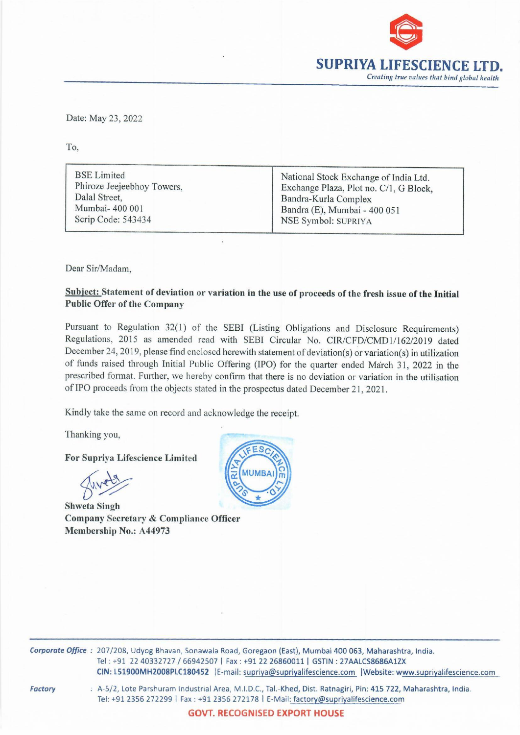

Date: May 23, 2022<br>To, Date: May 23, 2022

To,

BSE Limited National Stock Exchange of India Ltd.<br>Phiroze Jeejeebhoy Towers, Exchange Plaza, Plot no. C/1, G Block, Dalal Street, Bandra-Kurla Complex Mumbai- 400 001 **Bandra (E)**, Mumbai - 400 051 Scrip Code: 543434 NSE Symbol: SUPRIYA

Dear Sir/Madam,

## Subject: Statement of deviation or variation in the use of proceeds of the fresh issue of the Initial Public Offer of the Company

Pursuant to Regulation 32(1) of the SEBI (Listing Obligations and Disclosure Requirements) Regulations, 2015 as amended read with SEBI Circular No. CIR/CFD/CMD1/162/2019 dated December 24, 2019, please find enclosed herewith statement of deviation(s) or variation(s) in utilization of funds raised through Initial Public Offering (IPO) for the quarter ended March 31, 2022 in the prescribed format. Further, we hereby confirm that there is no deviation or variation in the utilisation of IPO proceeds from the objects stated in the prospectus dated December 21, 2021. BSE Limited<br>
Phiroze Jeciebhoy Towers,<br>
Dalal Street,<br>
Mumbai-400 001<br>
Serip Code: 543434<br>
Dear Sir/Madam,<br>
Dear Sir/Madam,<br>
Dear Sir/Madam,<br>
Dear Sir/Madam,<br>
Subject: Statement of deviation or variation in the Public Off

Kindly take the same on record and acknowledge the receipt.

Thanking you, —

For Supriya Lifescience Limited

Shweta Singh Company Secretary & Compliance Officer Membership No.: A44973



Corporate Office : 207/208, Udyog Bhavan, Sonawala Road, Goregaon (East), Mumbai 400 063, Maharashtra, India. Tel : +91 22 40332727 / 66942507 | Fax : +91 22 26860011 | GSTIN : 27AALCS8686A1ZX CIN: L51900MH2008PLC180452 |E-mail: supriya@supriyalifescience.com |Website: www.supriyalifescience.com

mail: s<u>upriya</u><br>ea, M.I.D.C.,<br>56 272178 |<br>**ECOGNISE** Factory : A-5/2, Lote Parshuram Industrial Area, M.I.D.C., Tal.-Khed, Dist. Ratnagiri, Pin: 415 722, Maharashtra, India. Tel: +91 2356 272299 | Fax : +91 2356 272178 | E-Mail: factory@supriyalifescience.com

GOVT. RECOGNISED EXPORT HOUSE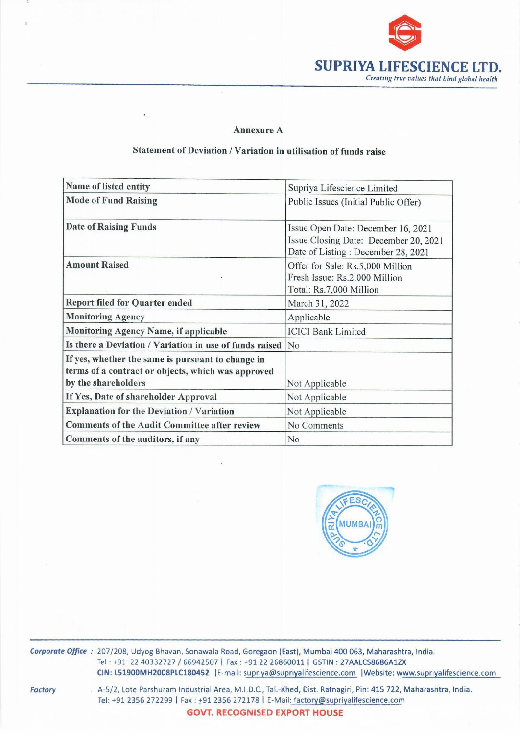

## Annexure A

## Annex<br>
Statement of Deviation / Varia Statement of Deviation / Variation in utilisation of funds raise

| <b>Annexure A</b>                                                                                                                                                                         |                                                                                                                                                                                                                   |  |  |
|-------------------------------------------------------------------------------------------------------------------------------------------------------------------------------------------|-------------------------------------------------------------------------------------------------------------------------------------------------------------------------------------------------------------------|--|--|
|                                                                                                                                                                                           | <b>SUPRIYA LIFESCIEN</b><br>Creating true values that bin                                                                                                                                                         |  |  |
|                                                                                                                                                                                           |                                                                                                                                                                                                                   |  |  |
|                                                                                                                                                                                           |                                                                                                                                                                                                                   |  |  |
|                                                                                                                                                                                           |                                                                                                                                                                                                                   |  |  |
|                                                                                                                                                                                           |                                                                                                                                                                                                                   |  |  |
|                                                                                                                                                                                           |                                                                                                                                                                                                                   |  |  |
| Statement of Deviation / Variation in utilisation of funds raise                                                                                                                          |                                                                                                                                                                                                                   |  |  |
| Name of listed entity                                                                                                                                                                     | Supriya Lifescience Limited                                                                                                                                                                                       |  |  |
| <b>Mode of Fund Raising</b>                                                                                                                                                               | Public Issues (Initial Public Offer)                                                                                                                                                                              |  |  |
| <b>Date of Raising Funds</b>                                                                                                                                                              | Issue Open Date: December 16, 2021<br>Issue Closing Date: December 20, 2021<br>Date of Listing: December 28, 2021<br>Offer for Sale: Rs.5,000 Million<br>Fresh Issue: Rs.2,000 Million<br>Total: Rs.7,000 Million |  |  |
| <b>Amount Raised</b>                                                                                                                                                                      |                                                                                                                                                                                                                   |  |  |
|                                                                                                                                                                                           | March 31, 2022                                                                                                                                                                                                    |  |  |
|                                                                                                                                                                                           | Applicable                                                                                                                                                                                                        |  |  |
|                                                                                                                                                                                           |                                                                                                                                                                                                                   |  |  |
| <b>Report filed for Quarter ended</b><br><b>Monitoring Agency</b><br>Monitoring Agency Name, if applicable                                                                                | <b>ICICI Bank Limited</b>                                                                                                                                                                                         |  |  |
|                                                                                                                                                                                           | No                                                                                                                                                                                                                |  |  |
|                                                                                                                                                                                           |                                                                                                                                                                                                                   |  |  |
| Is there a Deviation / Variation in use of funds raised<br>If yes, whether the same is pursuant to change in<br>terms of a contract or objects, which was approved<br>by the shareholders | Not Applicable                                                                                                                                                                                                    |  |  |
|                                                                                                                                                                                           | Not Applicable                                                                                                                                                                                                    |  |  |
|                                                                                                                                                                                           | Not Applicable                                                                                                                                                                                                    |  |  |
| If Yes, Date of shareholder Approval<br><b>Explanation for the Deviation / Variation</b><br><b>Comments of the Audit Committee after review</b><br>Comments of the auditors, if any       | No Comments<br>No                                                                                                                                                                                                 |  |  |



Corporate Office: 207/208, Udyog Bhavan, Sonawala Road, Goregaon (East), Mumbai 400 063, Maharashtra, India. Tel : +91 22 40332727 / 66942507 | Fax : +91 22 26860011 | GSTIN : 27AALCS8686A1ZX CIN: L51900MH2008PLC180452 | E-mail: supriya@supriyalifescience.com | Website: www.supriyalifescience.com

**Factory** 

STIN : 27AA<br><u>ience.com</u><br>Ratnagiri, l<br>@supriyalif<br>**OUSE** . A-5/2, Lote Parshuram Industrial Area, M.1.D.C., Tal.-Khed, Dist. Ratnagiri, Pin: 415 722, Maharashtra, India. Tel: +91 2356 272299 | Fax : +91 2356 272178 | E-Mail: factory@supriyalifescience.com GOVT. RECOGNISED EXPORT HOUSE